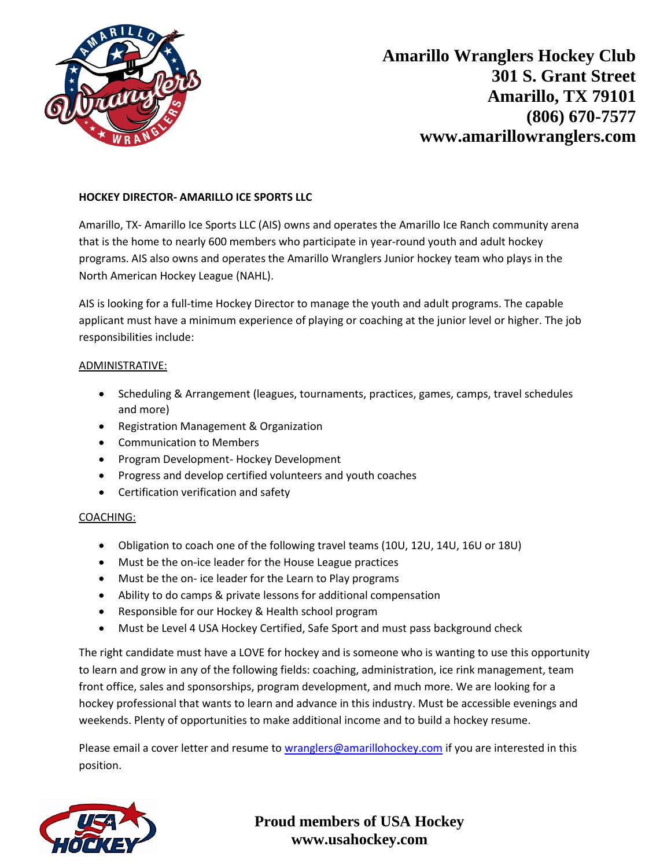

**Amarillo Wranglers Hockey Club 301 S. Grant Street Amarillo, TX 79101 (806) 670-7577 www.amarillowranglers.com**

## **HOCKEY DIRECTOR- AMARILLO ICE SPORTS LLC**

Amarillo, TX- Amarillo Ice Sports LLC (AIS) owns and operates the Amarillo Ice Ranch community arena that is the home to nearly 600 members who participate in year-round youth and adult hockey programs. AIS also owns and operates the Amarillo Wranglers Junior hockey team who plays in the North American Hockey League (NAHL).

AIS is looking for a full-time Hockey Director to manage the youth and adult programs. The capable applicant must have a minimum experience of playing or coaching at the junior level or higher. The job responsibilities include:

## ADMINISTRATIVE:

- Scheduling & Arrangement (leagues, tournaments, practices, games, camps, travel schedules and more)
- Registration Management & Organization
- Communication to Members
- Program Development- Hockey Development
- Progress and develop certified volunteers and youth coaches
- Certification verification and safety

## COACHING:

- Obligation to coach one of the following travel teams (10U, 12U, 14U, 16U or 18U)
- Must be the on-ice leader for the House League practices
- Must be the on- ice leader for the Learn to Play programs
- Ability to do camps & private lessons for additional compensation
- Responsible for our Hockey & Health school program
- Must be Level 4 USA Hockey Certified, Safe Sport and must pass background check

The right candidate must have a LOVE for hockey and is someone who is wanting to use this opportunity to learn and grow in any of the following fields: coaching, administration, ice rink management, team front office, sales and sponsorships, program development, and much more. We are looking for a hockey professional that wants to learn and advance in this industry. Must be accessible evenings and weekends. Plenty of opportunities to make additional income and to build a hockey resume.

Please email a cover letter and resume to [wranglers@amarillohockey.com](mailto:wranglers@amarillohockey.com) if you are interested in this position.



**Proud members of USA Hockey www.usahockey.com**